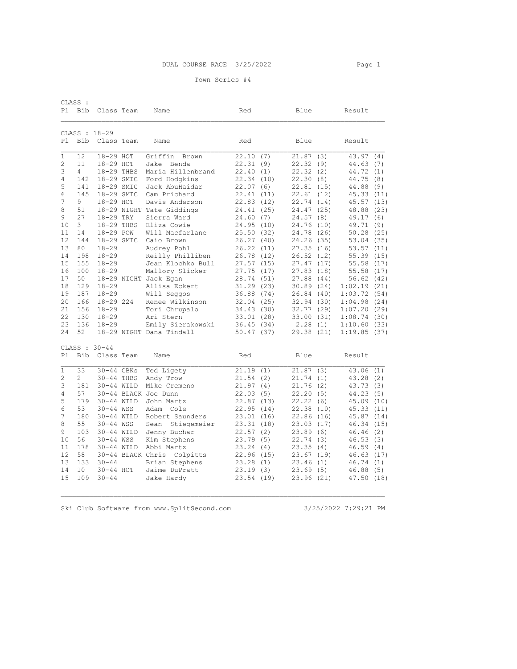| CLASS :       |                |               |  |                            |            |      |            |     |             |      |
|---------------|----------------|---------------|--|----------------------------|------------|------|------------|-----|-------------|------|
| P1            | Bib            | Class Team    |  | Name                       | Red        |      | Blue       |     | Result      |      |
| CLASS : 18-29 |                |               |  |                            |            |      |            |     |             |      |
| P1            | Bib            | Class Team    |  | Name                       | Red        |      | Blue       |     | Result      |      |
| 1             | 12             | 18-29 HOT     |  | Griffin<br>Brown           | 22.10      | (7)  | 21.87      | (3) | 43.97(4)    |      |
| 2             | 11             | 18-29 HOT     |  | Jake<br>Benda              | 22.31      | (9)  | 22.32      | (9) | 44.63       | (7)  |
| 3             | $\overline{4}$ | 18-29 THBS    |  | Maria Hillenbrand          | 22.40      | (1)  | 22.32(2)   |     | 44.72       | (1)  |
| 4             | 142            | 18-29 SMIC    |  | Ford Hodgkins              | 22.34      | (10) | 22.30(8)   |     | 44.75       | (8)  |
| 5             | 141            | 18-29 SMIC    |  | Jack AbuHaidar             | 22.07      | (6)  | 22.81(15)  |     | 44.88       | (9)  |
| 6             | 145            | 18-29 SMIC    |  | Cam Prichard               | 22.41      | (11) | 22.61(12)  |     | 45.33       | (11) |
| 7             | 9              | 18-29 HOT     |  | Davis Anderson             | 22.83      | (12) | 22.74 (14) |     | 45.57 (13)  |      |
| 8             | 51             |               |  | 18-29 NIGHT Tate Giddings  | 24.41      | (25) | 24.47 (25) |     | 48.88       | (23) |
| 9             | 27             | 18-29 TRY     |  | Sierra Ward                | 24.60      | (7)  | 24.57(8)   |     | 49.17       | (6)  |
| 10            | 3              | 18-29 THBS    |  | Eliza Cowie                | 24.95 (10) |      | 24.76 (10) |     | 49.71 (9)   |      |
| 11            | 14             | 18-29 POW     |  | Will Macfarlane            | 25.50      | (32) | 24.78 (26) |     | 50.28       | (25) |
| 12            | 144            | 18-29 SMIC    |  | Caio Brown                 | 26.27      | (40) | 26.26(35)  |     | 53.04 (35)  |      |
| 13            | 80             | $18 - 29$     |  | Audrey Pohl                | 26.22      | (11) | 27.35(16)  |     | 53.57       | (11) |
| 14            | 198            | $18 - 29$     |  | Reilly Philliben           | 26.78 (12) |      | 26.52(12)  |     | 55.39(15)   |      |
| 15            | 155            | $18 - 29$     |  | Jean Klochko Bull          | 27.57      | (15) | 27.47(17)  |     | 55.58 (17)  |      |
| 16            | 100            | $18 - 29$     |  | Mallory Slicker            | 27.75      | (17) | 27.83(18)  |     | 55.58 (17)  |      |
| 17            | 50             |               |  | 18-29 NIGHT Jack Eqan      | 28.74      | (51) | 27.88 (44) |     | 56.62       | (42) |
| 18            | 129            | $18 - 29$     |  | Allisa Eckert              | 31.29      | (23) | 30.89(24)  |     | 1:02.19(21) |      |
| 19            | 187            | $18 - 29$     |  | Will Seggos                | 36.88      | (74) | 26.84(40)  |     | 1:03.72(54) |      |
| 20            | 166            | 18-29 224     |  | Renee Wilkinson            | 32.04      | (25) | 32.94 (30) |     | 1:04.98(24) |      |
| 21            | 156            | $18 - 29$     |  | Tori Chrupalo              | 34.43      | (30) | 32.77(29)  |     | 1:07.20(29) |      |
| 22            | 130            | $18 - 29$     |  | Ari Stern                  | 33.01(28)  |      | 33.00 (31) |     | 1:08.74(30) |      |
| 23            | 136            | $18 - 29$     |  | Emily Sierakowski          | 36.45      | (34) | 2.28(1)    |     | 1:10.60(33) |      |
| 24            | 52             |               |  | 18-29 NIGHT Dana Tindall   | 50.47(37)  |      | 29.38 (21) |     | 1:19.85(37) |      |
|               |                | CLASS : 30-44 |  |                            |            |      |            |     |             |      |
| P1            | Bib            | Class Team    |  | Name                       | Red        |      | Blue       |     | Result      |      |
| 1             | 33             | 30-44 CBKs    |  | Ted Ligety                 | 21.19      | (1)  | 21.87      | (3) | 43.06       | (1)  |
| 2             | $\mathbf{2}$   | 30-44 THBS    |  | Andy Trow                  | 21.54      | (2)  | 21.74 (1)  |     | 43.28 (2)   |      |
| 3             | 181            | 30-44 WILD    |  | Mike Cremeno               | 21.97      | (4)  | 21.76(2)   |     | 43.73 (3)   |      |
| 4             | 57             |               |  | 30-44 BLACK Joe Dunn       | 22.03      | (5)  | 22.20(5)   |     | 44.23(5)    |      |
| 5             | 179            | 30-44 WILD    |  | John Martz                 | 22.87      | (13) | 22.22(6)   |     | 45.09 (10)  |      |
| 6             | 53             | 30-44 WSS     |  | Adam Cole                  | 22.95      | (14) | 22.38 (10) |     | 45.33 (11)  |      |
| 7             | 180            | 30-44 WILD    |  | Robert Saunders            | 23.01      | (16) | 22.86(16)  |     | 45.87 (14)  |      |
| 8             | 55             | 30-44 WSS     |  | Sean Stiegemeier           | 23.31      | (18) | 23.03(17)  |     | 46.34 (15)  |      |
| 9             | 103            | 30-44 WILD    |  | Jenny Buchar               | 22.57      | (2)  | 23.89(6)   |     | 46.46       | (2)  |
| 10            | 56             | 30-44 WSS     |  | Kim Stephens               | 23.79      | (5)  | 22.74(3)   |     | 46.53       | (3)  |
| 11            | 178            | 30-44 WILD    |  | Abbi Martz                 | 23.24      | (4)  | 23.35(4)   |     | 46.59(4)    |      |
| 12            | 58             |               |  | 30-44 BLACK Chris Colpitts | 22.96      | (15) | 23.67(19)  |     | 46.63 (17)  |      |
| 13            | 133            | $30 - 44$     |  | Brian Stephens             | 23.28      | (1)  | 23.46(1)   |     | 46.74       | (1)  |
| 14            | 10             | 30-44 HOT     |  | Jaime DuPratt              | 23.19      | (3)  | 23.69(5)   |     | 46.88       | (5)  |
| 15            | 109            | $30 - 44$     |  | Jake Hardy                 | 23.54      | (19) | 23.96 (21) |     | 47.50 (18)  |      |
|               |                |               |  |                            |            |      |            |     |             |      |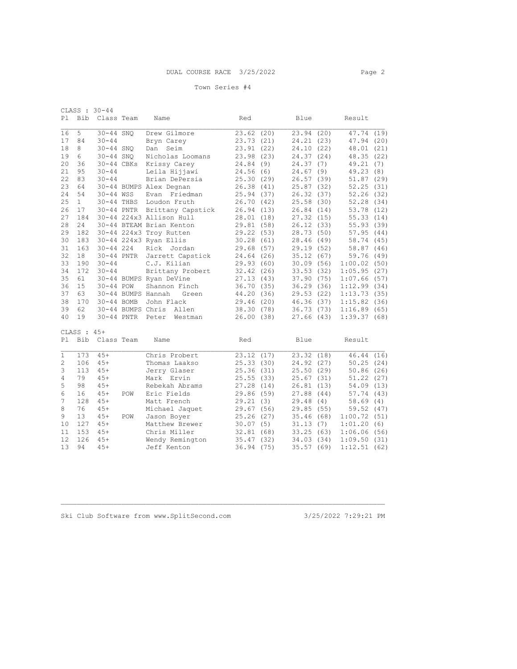| Pl          | <b>Bib</b>    | CLASS : 30-44<br>Class Team |            | Name                     | Red        |      | Blue       |      | Result      |      |
|-------------|---------------|-----------------------------|------------|--------------------------|------------|------|------------|------|-------------|------|
| 16          | 5             | $30 - 44$ SNQ               |            | Drew Gilmore             | 23.62(20)  |      | 23.94(20)  |      | 47.74 (19)  |      |
| 17          | 84            | $30 - 44$                   |            | Bryn Carey               | 23.73 (21) |      | 24.21 (23) |      | 47.94 (20)  |      |
| 18          | 8             | $30 - 44$ SNO               |            | Seim<br>Dan              | 23.91      | (22) | 24.10 (22) |      | 48.01 (21)  |      |
| 19          | 6             | $30-44$ SNO                 |            | Nicholas Loomans         | 23.98      | (23) | 24.37 (24) |      | 48.35 (22)  |      |
| 20          | 36            |                             | 30-44 CBKs | Krissy Carey             | 24.84      | (9)  | 24.37      | (7)  | 49.21(7)    |      |
| 21          | 95            | $30 - 44$                   |            | Leila Hijjawi            | 24.56(6)   |      | 24.67(9)   |      | 49.23(8)    |      |
| 22          | 83            | $30 - 44$                   |            | Brian DePersia           | 25.30      | (29) | 26.57(39)  |      | 51.87(29)   |      |
| 23          | 64            |                             |            | 30-44 BUMPS Alex Degnan  | 26.38      | (41) | 25.87(32)  |      | 52.25(31)   |      |
| 24          | 54            | 30-44 WSS                   |            | Evan Friedman            | 25.94      | (37) | 26.32(37)  |      | 52.26(32)   |      |
| 25          | 1             | 30-44 THBS                  |            | Loudon Fruth             | 26.70      | (42) | 25.58 (30) |      | 52.28 (34)  |      |
| 26          | 17            |                             | 30-44 PNTR | Brittany Capstick        | 26.94      | (13) | 26.84(14)  |      | 53.78 (12)  |      |
| 27          | 184           |                             |            | 30-44 224x3 Allison Hull | 28.01      | (18) | 27.32 (15) |      | 55.33(14)   |      |
| 28          | 24            |                             |            | 30-44 BTEAM Brian Kenton | 29.81      | (58) | 26.12(33)  |      | 55.93(39)   |      |
| 29          | 182           |                             |            | 30-44 224x3 Troy Rutten  | 29.22      | (53) | 28.73 (50) |      | 57.95(44)   |      |
| 30          | 183           |                             |            | 30-44 224x3 Ryan Ellis   | 30.28      | (61) | 28.46 (49) |      | 58.74 (45)  |      |
| 31          | 163           | $30 - 44$ 224               |            | Rick Jordan              | 29.68      | (57) | 29.19(52)  |      | 58.87       | (46) |
| 32          | 18            |                             | 30-44 PNTR | Jarrett Capstick         | 24.64      | (26) | 35.12(67)  |      | 59.76 (49)  |      |
| 33          | 190           | $30 - 44$                   |            | C.J. Kilian              | 29.93      | (60) | 30.09(56)  |      | 1:00.02(50) |      |
| 34          | 172           | $30 - 44$                   |            | Brittany Probert         | 32.42      | (26) | 33.53(32)  |      | 1:05.95(27) |      |
| 35          | 61            |                             |            | 30-44 BUMPS Ryan DeVine  | 27.13      | (43) | 37.90 (75) |      | 1:07.66(57) |      |
| 36          | 15            | $30 - 44$ POW               |            | Shannon Finch            | 36.70      | (35) | 36.29(36)  |      | 1:12.99(34) |      |
| 37          | 63            |                             |            | 30-44 BUMPS Hannah Green | 44.20      | (36) | 29.53(22)  |      | 1:13.73(35) |      |
| 38          | 170           |                             | 30-44 BOMB | John Flack               | 29.46      | (20) | 46.36 (37) |      | 1:15.82(36) |      |
| 39          | 62            |                             |            | 30-44 BUMPS Chris Allen  | 38.30(78)  |      | 36.73(73)  |      | 1:16.89(65) |      |
| 40          | 19            | $30-44$ PNTR                |            | Peter<br>Westman         | 26.00      | (38) | 27.66(43)  |      | 1:39.37(68) |      |
|             | CLASS : $45+$ |                             |            |                          |            |      |            |      |             |      |
| Pl          | <b>Bib</b>    | Class Team                  |            | Name                     | Red        |      | Blue       |      | Result      |      |
| $\mathbf 1$ | 173           | $45+$                       |            | Chris Probert            | 23.12      | (17) | 23.32(18)  |      | 46.44 (16)  |      |
| 2           | 106           | $45+$                       |            | Thomas Laakso            | 25.33      | (30) | 24.92 (27) |      | 50.25       | (24) |
| 3           | 113           | $45+$                       |            | Jerry Glaser             | 25.36      | (31) | 25.50(29)  |      | 50.86(26)   |      |
| 4           | 79            | $45+$                       |            | Mark Ervin               | 25.55      | (33) | 25.67(31)  |      | 51.22(27)   |      |
| 5           | 98            | $45+$                       |            | Rebekah Abrams           | 27.28      | (14) | 26.81 (13) |      | 54.09(13)   |      |
| 6           | 16            | $45+$                       | POW        | Eric Fields              | 29.86      | (59) | 27.88      | (44) | 57.74 (43)  |      |
| 7           | 128           | $45+$                       |            | Matt French              | 29.21      | (3)  | 29.48 (4)  |      | 58.69       | (4)  |
| 8           | 76            | $45+$                       |            | Michael Jaquet           | 29.67      | (56) | 29.85 (55) |      | 59.52 (47)  |      |
| 9           | 13            | $45+$                       | POW        | Jason Boyer              | 25.26      | (27) | 35.46 (68) |      | 1:00.72(51) |      |
| 10          | 127           | $45+$                       |            | Matthew Brewer           | 30.07      | (5)  | 31.13(7)   |      | 1:01.20     | (6)  |
| 11          | 153           | $45+$                       |            | Chris Miller             | 32.81      | (68) | 33.25(63)  |      | 1:06.06(56) |      |
| 12          | 126           | $45+$                       |            | Wendy Remington          | 35.47      | (32) | 34.03 (34) |      | 1:09.50     | (31) |
| 13          | 94            | $45+$                       |            | Jeff Kenton              | 36.94      | (75) | 35.57(69)  |      | 1:12.51(62) |      |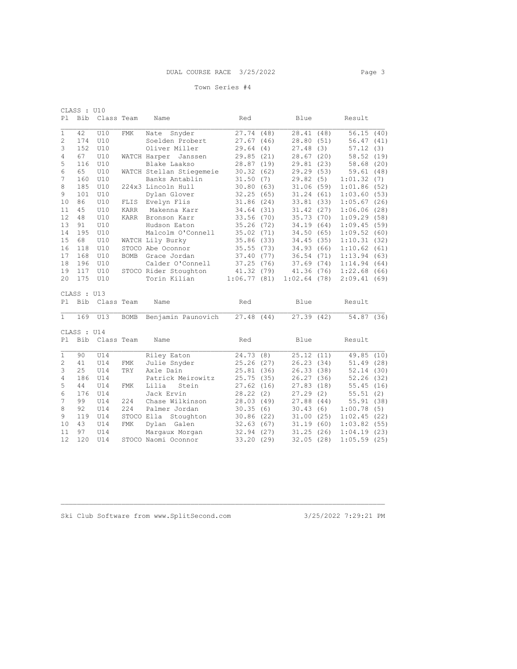| CLASS : U10    |             |            |             |                          |             |      |             |     |             |      |
|----------------|-------------|------------|-------------|--------------------------|-------------|------|-------------|-----|-------------|------|
| P1             | Bib         | Class Team |             | Name                     | Red         |      | Blue        |     | Result      |      |
|                |             |            |             |                          |             |      |             |     |             |      |
| 1              | 42          | U10        | FMK         | Snyder<br>Nate           | 27.74 (48)  |      | 28.41 (48)  |     | 56.15(40)   |      |
| $\overline{c}$ | 174         | U10        |             | Soelden Probert          | 27.67       | (46) | 28.80 (51)  |     | 56.47(41)   |      |
| 3              | 152         | U10        |             | Oliver Miller            | 29.64       | (4)  | 27.48(3)    |     | 57.12       | (3)  |
| 4              | 67          | U10        |             | WATCH Harper<br>Janssen  | 29.85       | (21) | 28.67(20)   |     | 58.52 (19)  |      |
| 5              | 116         | U10        |             | Blake Laakso             | 28.87       | (19) | 29.81 (23)  |     | 58.68(20)   |      |
| 6              | 65          | U10        |             | WATCH Stellan Stiegemeie | 30.32       | (62) | 29.29 (53)  |     | 59.61       | (48) |
| 7              | 160         | U10        |             | Banks Antablin           | 31.50       | (7)  | 29.82(5)    |     | 1:01.32(7)  |      |
| 8              | 185         | U10        |             | 224x3 Lincoln Hull       | 30.80       | (63) | 31.06(59)   |     | 1:01.86(52) |      |
| 9              | 101         | U10        |             | Dylan Glover             | 32.25       | (65) | 31.24(61)   |     | 1:03.60(53) |      |
| 10             | 86          | U10        | FLIS        | Evelyn Flis              | 31.86       | (24) | 33.81(33)   |     | 1:05.67(26) |      |
| 11             | 45          | U10        | KARR        | Makenna Karr             | 34.64       | (31) | 31.42(27)   |     | 1:06.06(28) |      |
| 12             | 48          | U10        | KARR        | Bronson Karr             | 33.56       | (70) | 35.73(70)   |     | 1:09.29(58) |      |
| 13             | 91          | U10        |             | Hudson Eaton             | 35.26       | (72) | 34.19(64)   |     | 1:09.45(59) |      |
| 14             | 195         | U10        |             | Malcolm O'Connell        | 35.02       | (71) | 34.50 (65)  |     | 1:09.52(60) |      |
| 15             | 68          | U10        |             | WATCH Lily Burky         | 35.86       | (33) | 34.45(35)   |     | 1:10.31(32) |      |
| 16             | 118         | U10        |             | STOCO Abe Oconnor        | 35.55       | (73) | 34.93 (66)  |     | 1:10.62(61) |      |
| 17             | 168         | U10        | <b>BOMB</b> | Grace Jordan             | 37.40       | (77) | 36.54(71)   |     | 1:13.94(63) |      |
| 18             | 196         | U10        |             | Calder O'Connell         | 37.25       | (76) | 37.69(74)   |     | 1:14.94(64) |      |
| 19             | 117         | U10        |             | STOCO Rider Stoughton    | 41.32       | (79) | 41.36 (76)  |     | 1:22.68(66) |      |
| 20             | 175         | U10        |             | Torin Kilian             | 1:06.77(81) |      | 1:02.64(78) |     | 2:09.41(69) |      |
|                |             |            |             |                          |             |      |             |     |             |      |
|                | CLASS : U13 |            |             |                          |             |      |             |     |             |      |
| P <sub>1</sub> | Bib         | Class Team |             | Name                     | Red         |      | Blue        |     | Result      |      |
|                |             |            |             |                          |             |      |             |     |             |      |
| $\mathbf{1}$   | 169         | U13        | BOMB        | Benjamin Paunovich       | 27.48 (44)  |      | 27.39(42)   |     | 54.87 (36)  |      |
|                |             |            |             |                          |             |      |             |     |             |      |
|                | CLASS : U14 |            |             |                          |             |      |             |     |             |      |
| P1             | <b>Bib</b>  | Class Team |             | Name                     | Red         |      | Blue        |     | Result      |      |
| $\mathbf{1}$   | 90          | U14        |             | Riley Eaton              | 24.73       | (8)  | 25.12(11)   |     | 49.85       | (10) |
| 2              | 41          | U14        | FMK         | Julie Snyder             | 25.26       | (27) | 26.23(34)   |     | 51.49(28)   |      |
| 3              | 25          | U14        | TRY         | Axle Dain                | 25.81       | (36) | 26.33(38)   |     | 52.14(30)   |      |
| 4              | 186         | U14        |             | Patrick Meirowitz        | 25.75       | (35) | 26.27(36)   |     | 52.26(32)   |      |
| 5              | 44          | U14        | <b>FMK</b>  | Lilia<br>Stein           | 27.62       | (16) | 27.83(18)   |     | 55.45(16)   |      |
| 6              | 176         | U14        |             | Jack Ervin               | 28.22       | (2)  | 27.29       | (2) | 55.51(2)    |      |
| 7              | 99          | U14        | 224         | Chase Wilkinson          | 28.03 (49)  |      | 27.88 (44)  |     | 55.91 (38)  |      |
| 8              | 92          | U14        | 224         | Palmer Jordan            | 30.35       | (6)  | 30.43(6)    |     | 1:00.78(5)  |      |
| 9              | 119         | U14        |             | STOCO Ella Stoughton     | 30.86       | (22) | 31.00(25)   |     | 1:02.45(22) |      |
| 10             | 43          | U14        | <b>FMK</b>  | Dylan Galen              | 32.63       | (67) | 31.19(60)   |     | 1:03.82(55) |      |
| 11             | 97          | U14        |             | Margaux Morgan           | 32.94       | (27) | 31.25(26)   |     | 1:04.19     | (23) |
| 12             | 120         | U14        |             | STOCO Naomi Oconnor      | 33.20 (29)  |      | 32.05(28)   |     | 1:05.59(25) |      |
|                |             |            |             |                          |             |      |             |     |             |      |